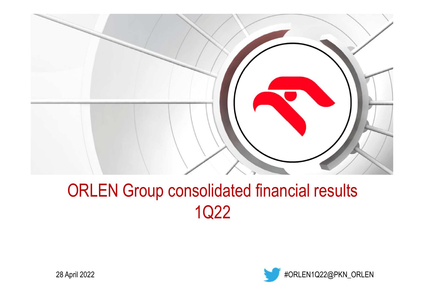

# ORLEN Group consolidated financial results1Q22



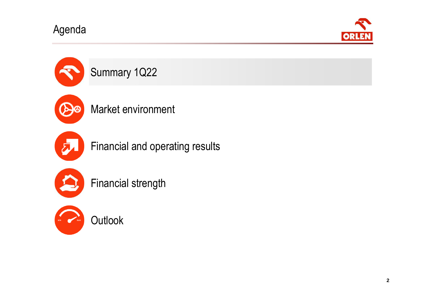Agenda



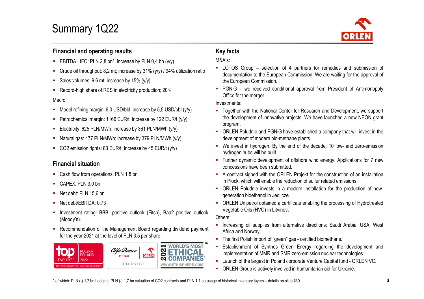## Summary 1Q22



#### **Financial and operating results**

- EBITDA LIFO: PLN 2,8 bn\*; increase by PLN 0,4 bn (y/y)
- $\mathcal{L}_{\mathcal{A}}$ Crude oil throughput: 8,2 mt; increase by 31% (y/y) / 94% utilization ratio
- Sales volumes: 9,6 mt; increase by 15% (y/y)
- Record-high share of RES in electricity production; 20%

#### Macro:

- Model refining margin: 6,0 USD/bbl; increase by 5,5 USD/bbl (y/y)
- $\mathbf{r}$ Petrochemical margin: <sup>1166</sup> EUR/t, increase by <sup>122</sup> EUR/t (y/y)
- Electricity: <sup>625</sup> PLN/MWh; increase by <sup>361</sup> PLN/MWh (y/y)
- $\mathbf{u}$ Natural gas: <sup>477</sup> PLN/MWh; increase by <sup>379</sup> PLN/MWh (y/y)
- CO2 emission rights: <sup>83</sup> EUR/t; increase by <sup>45</sup> EUR/t (y/y)

#### **Financial situation**

- **Cash flow from operations: PLN 1,8 bn**
- CAPEX: PLN 3,0 bn
- Net debt: PLN 15,6 bn
- Net debt/EBITDA: 0,73
- **Iom** Investment rating: BBB- positive outlook (Fitch), Baa2 positive outlook (Moody's).
- **Recommendation of the Management Board regarding dividend payment** for the year 2021 at the level of PLN 3,5 per share.



### **Key facts**

#### M&A's:

- LOTOS Group selection of <sup>4</sup> partners for remedies and submission of documentation to the European Commission. We are waiting for the approval of the European Commission.
- PGNiG we received conditional approval from President of Antimonopoly Office for the merger.

#### Investments:

- Together with the National Center for Research and Development, we support the development of innovative projects. We have launched <sup>a</sup> new NEON grant program.
- ORLEN Południe and PGNiG have established <sup>a</sup> company that will invest in the development of modern bio-methane plants.
- We invest in hydrogen. By the end of the decade, <sup>10</sup> low- and zero-emission hydrogen hubs will be built.
- Further dynamic development of offshore wind energy. Applications for <sup>7</sup> newconcessions have been submitted.
- <sup>A</sup> contract signed with the ORLEN Projekt for the construction of an installation in Płock, which will enable the reduction of sulfur related emissions.
- ORLEN Południe invests in <sup>a</sup> modern installation for the production of newgeneration bioethanol in Jedlicze.
- ORLEN Unipetrol obtained <sup>a</sup> certificate enabling the processing of Hydrotreated Vegetable Oils (HVO) in Litvinov.

Others:

- **Increasing oil supplies from alternative directions: Saudi Arabia, USA, West** Africa and Norway.
- The first Polish import of "green" gas certified biomethane.
- $\mathbf{r}$  Establishment of Synthos Green Energy regarding the development and implementation of MMR and SMR zero-emission nuclear technologies.
- Launch of the largest in Poland corporate Venture Capital fund ORLEN VC.
- **ORLEN Group is actively involved in humanitarian aid for Ukraine.**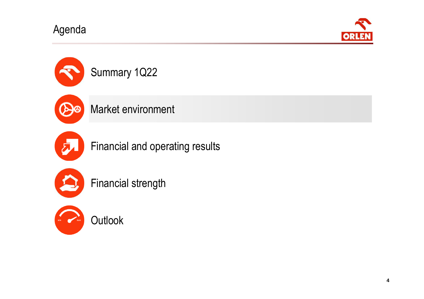Agenda





Financial and operating results



Financial strength



**Outlook**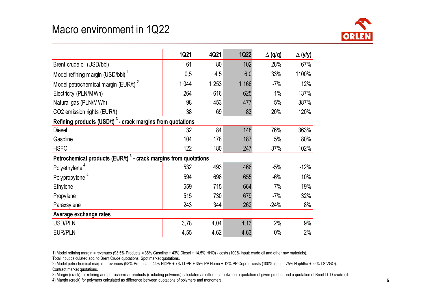### Macro environment in 1Q22



|                                                                             | <b>1Q21</b> | 4Q21    | <b>1Q22</b> | $\Delta$ (q/q) | $\Delta$ (y/y) |  |  |
|-----------------------------------------------------------------------------|-------------|---------|-------------|----------------|----------------|--|--|
| Brent crude oil (USD/bbl)                                                   | 61          | 80      | 102         | 28%            | 67%            |  |  |
| Model refining margin (USD/bbl) <sup>1</sup>                                | 0,5         | 4,5     | 6,0         | 33%            | 1100%          |  |  |
| Model petrochemical margin (EUR/t) <sup>2</sup>                             | 1 0 4 4     | 1 2 5 3 | 1 1 6 6     | $-7%$          | 12%            |  |  |
| Electricity (PLN/MWh)                                                       | 264         | 616     | 625         | 1%             | 137%           |  |  |
| Natural gas (PLN/MWh)                                                       | 98          | 453     | 477         | 5%             | 387%           |  |  |
| CO2 emission rights (EUR/t)                                                 | 38          | 69      | 83          | 20%            | 120%           |  |  |
| Refining products (USD/t) <sup>3</sup> - crack margins from quotations      |             |         |             |                |                |  |  |
| <b>Diesel</b>                                                               | 32          | 84      | 148         | 76%            | 363%           |  |  |
| Gasoline                                                                    | 104         | 178     | 187         | 5%             | 80%            |  |  |
| <b>HSFO</b>                                                                 | $-122$      | $-180$  | $-247$      | 37%            | 102%           |  |  |
| Petrochemical products (EUR/t) <sup>3</sup> - crack margins from quotations |             |         |             |                |                |  |  |
| Polyethylene <sup>4</sup>                                                   | 532         | 493     | 466         | $-5%$          | $-12%$         |  |  |
| Polypropylene <sup>4</sup>                                                  | 594         | 698     | 655         | $-6%$          | 10%            |  |  |
| Ethylene                                                                    | 559         | 715     | 664         | $-7%$          | 19%            |  |  |
| Propylene                                                                   | 515         | 730     | 679         | $-7%$          | 32%            |  |  |
| Paraxsylene                                                                 | 243         | 344     | 262         | $-24%$         | 8%             |  |  |
| Average exchange rates                                                      |             |         |             |                |                |  |  |
| <b>USD/PLN</b>                                                              | 3,78        | 4,04    | 4,13        | 2%             | 9%             |  |  |
| <b>EUR/PLN</b>                                                              | 4,55        | 4,62    | 4,63        | $0\%$          | 2%             |  |  |

1) Model refining margin = revenues (93,5% Products = 36% Gasoline + 43% Diesel + 14,5% HHO) - costs (100% input: crude oil and other raw materials).

Total input calculated acc. to Brent Crude quotations. Spot market quotations.

 2) Model petrochemical margin = revenues (98% Products = 44% HDPE + 7% LDPE + 35% PP Homo + 12% PP Copo) - costs (100% input = 75% Naphtha + 25% LS VGO). Contract market quotations.

3) Margin (crack) for refining and petrochemical products (excluding polymers) calculated as difference between a quotation of given product and a quotation of Brent DTD crude oil.

4) Margin (crack) for polymers calculated as difference between quotations of polymers and monomers.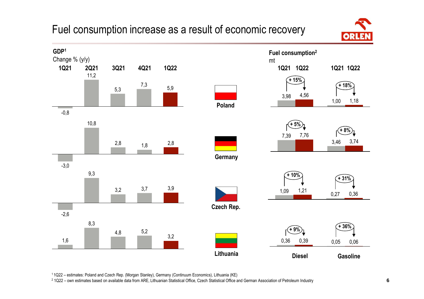### Fuel consumption increase as a result of economic recovery





<sup>1</sup>1Q22 – estimates: Poland and Czech Rep. (Morgan Stanley), Germany (Continuum Economics), Lithuania (KE)

<sup>2</sup> 1Q22 – own estimates based on available data from ARE, Lithuanian Statistical Office, Czech Statistical Office and German Association of Petroleum Industry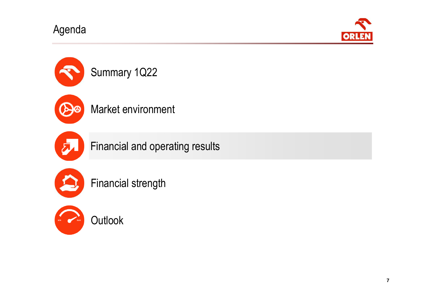Agenda





Financial and operating results



Financial strength



**Outlook**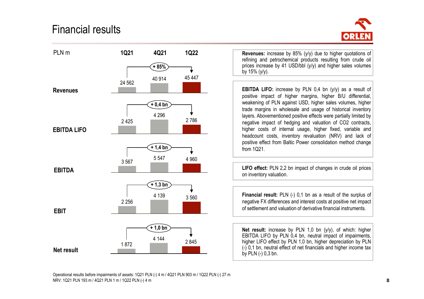### Financial results





**Revenues:** increase by 85% (y/y) due to higher quotations of refining and petrochemical products resulting from crude oil prices increase by 41 USD/bbl (y/y) and higher sales volumesby  $15\%$  ( $v/v$ ).

**EBITDA LIFO:** increase by PLN 0,4 bn (y/y) as <sup>a</sup> result of positive impact of higher margins, higher B/U differential, weakening of PLN against USD, higher sales volumes, higher trade margins in wholesale and usage of historical inventory layers. Abovementioned positive effects were partially limited by negative impact of hedging and valuation of CO2 contracts, higher costs of internal usage, higher fixed, variable and headcount costs, inventory revaluation (NRV) and lack of positive effect from Baltic Power consolidation method changefrom 1Q21.

**LIFO effect:** PLN 2,2 bn impact of changes in crude oil priceson inventory valuation.

**Financial result:** PLN (-) 0,1 bn as <sup>a</sup> result of the surplus of negative FX differences and interest costs at positive net impact of settlement and valuation of derivative financial instruments.

**Net result:** increase by PLN 1,0 bn (y/y), of which: higher EBITDA LIFO by PLN 0,4 bn, neutral impact of impairments, higher LIFO effect by PLN 1,0 bn, higher depreciation by PLN (-) 0,1 bn, neutral effect of net financials and higher income taxby PLN (-) 0,3 bn.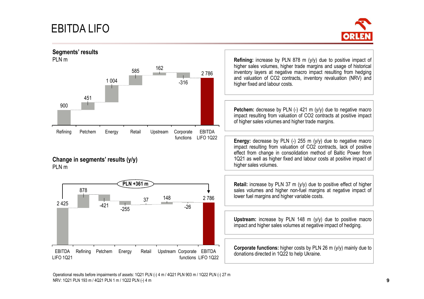## EBITDA LIFO



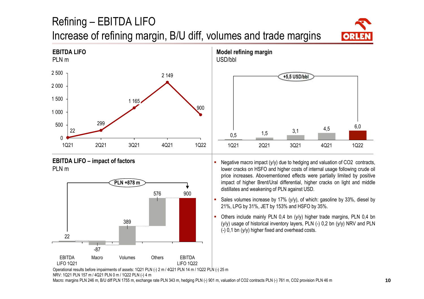## Refining – EBITDA LIFO Increase of refining margin, B/U diff, volumes and trade margins











 Negative macro impact (y/y) due to hedging and valuation of CO2 contracts, lower cracks on HSFO and higher costs of internal usage following crude oil price increases. Abovementioned effects were partially limited by positive impact of higher Brent/Ural differential, higher cracks on light and middle distillates and weakening of PLN against USD.

- ш Sales volumes increase by 17% (y/y), of which: gasoline by 33%, diesel by 21%, LPG by 31%, JET by 153% and HSFO by 35%.
- Others include mainly PLN 0,4 bn (y/y) higher trade margins, PLN 0,4 bn  $(y/y)$  usage of historical inventory layers, PLN  $(-)$  0,2 bn  $(y/y)$  NRV and PLN (-) 0,1 bn (y/y) higher fixed and overhead costs.

 Operational results before impairments of assets: 1Q21 PLN (-) 2 m / 4Q21 PLN 14 m / 1Q22 PLN (-) 25 mNRV: 1Q21 PLN 157 m / 4Q21 PLN 0 m / 1Q22 PLN (-) 4 m

Macro: margins PLN 246 m, B/U diff PLN 1755 m, exchange rate PLN 343 m, hedging PLN (-) 901 m, valuation of CO2 contracts PLN (-) 761 m, CO2 provision PLN 46 m

П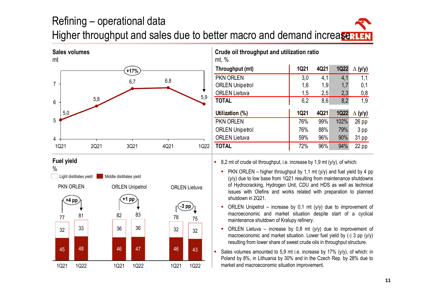## Refining – operational dataHigher throughput and sales due to better macro and demand increase



| mt, %                  |      |      |             |                |
|------------------------|------|------|-------------|----------------|
| Throughput (mt)        | 1Q21 | 4Q21 | <b>1Q22</b> | $\Delta$ (y/y) |
| <b>PKN ORLEN</b>       | 3,0  | 4,1  | 4,1         | 1,1            |
| <b>ORLEN Unipetrol</b> | 1,6  | 1,9  | 1,7         | 0,1            |
| <b>ORLEN</b> Lietuva   | 1,5  | 2,5  | 2,3         | 0,8            |
| <b>TOTAL</b>           | 6,2  | 8,6  | 8,2         | 1,9            |
|                        |      |      |             |                |
| Utilization (%)        | 1Q21 | 4Q21 | <b>1Q22</b> | $\Delta$ (y/y) |
| <b>PKN ORLEN</b>       | 76%  | 99%  | 102%        | $26$ pp        |
| <b>ORLEN Unipetrol</b> | 76%  | 88%  | 79%         | 3 pp           |
| <b>ORLEN Lietuva</b>   | 59%  | 96%  | 90%         | 31 pp          |

**Crude oil throughput and utilization ratio**



■ 8,2 mt of crude oil throughput, i.e. increase by 1,9 mt (y/y), of which:

- PKN ORLEN higher throughput by 1,1 mt (y/y) and fuel yield by <sup>4</sup> pp (y/y) due to low base from 1Q21 resulting from maintenance shutdowns of Hydrocracking, Hydrogen Unit, CDU and HDS as well as technical issues with Olefins and works related with preparation to plannedshutdown in 2Q21.
- ORLEN Unipetrol increase by 0,1 mt (y/y) due to improvement of macroeconomic and market situation despite start of <sup>a</sup> cyclical maintenance shutdown of Kralupy refinery.
- ORLEN Lietuva increase by 0,8 mt (y/y) due to improvement of macroeconomic and market situation. Lower fuel yield by (-) 3 pp (y/y) resulting from lower share of sweet crude oils in throughput structure.
- a. Sales volumes amounted to 5,9 mt i.e. increase by 17% (y/y), of which: in Poland by 8%, in Lithuania by 30% and in the Czech Rep. by 28% due tomarket and macroeconomic situation improvement.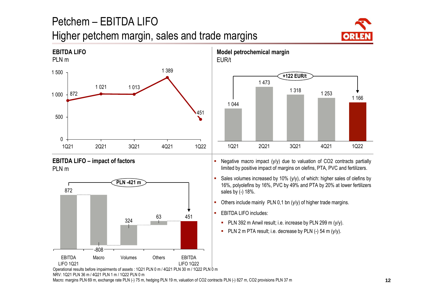## Petchem – EBITDA LIFO

### Higher petchem margin, sales and trade margins



1 166

4Q21







 Negative macro impact (y/y) due to valuation of CO2 contracts partially limited by positive impact of margins on olefins, PTA, PVC and fertilizers.

1Q21 2Q21 3Q21 1Q22

1 318

**+122 EUR/t** 

1 253

 Sales volumes increased by 10% (y/y), of which: higher sales of olefins by 16%, polyolefins by 16%, PVC by 49% and PTA by 20% at lower fertilizerssales by (-) 18%.

- a. Others include mainly PLN 0,1 bn (y/y) of higher trade margins.
- EBITDA LIFO includes:

**Model petrochemical margin**

1 473

EUR/t

1 044

- PLN <sup>392</sup> <sup>m</sup> Anwil result; i.e. increase by PLN <sup>299</sup> <sup>m</sup> (y/y).
- PLN <sup>2</sup> <sup>m</sup> PTA result; i.e. decrease by PLN (-) <sup>54</sup> <sup>m</sup> (y/y).

 Operational results before impairments of assets : 1Q21 PLN 0 m / 4Q21 PLN 30 m / 1Q22 PLN 0 m NRV: 1Q21 PLN 36 m / 4Q21 PLN 1 m / 1Q22 PLN 0 mMacro: margins PLN 69 m, exchange rate PLN (-) 75 m, hedging PLN 19 m, valuation of CO2 contracts PLN (-) 827 m, CO2 provisions PLN 37 m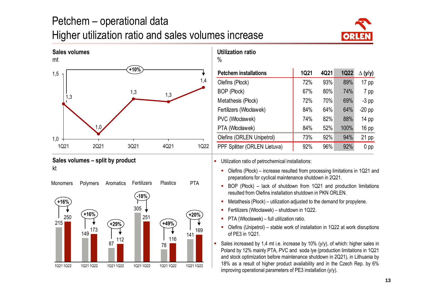## Petchem – operational dataHigher utilization ratio and sales volumes increase









| <b>Petchem installations</b> | <b>1Q21</b> | 4Q21 | <b>1Q22</b> | $\Delta$ (y/y)   |
|------------------------------|-------------|------|-------------|------------------|
| Olefins (Płock)              | 72%         | 93%  | 89%         | $17$ pp          |
| <b>BOP (Plock)</b>           | 67%         | 80%  | 74%         | 7 pp             |
| Metathesis (Płock)           | 72%         | 70%  | 69%         | $-3$ pp          |
| Fertilizers (Włocławek)      | 84%         | 64%  | 64%         | $-20$ pp         |
| PVC (Włocławek)              | 74%         | 82%  | 88%         | 14 <sub>pp</sub> |
| PTA (Włocławek)              | 84%         | 52%  | 100%        | 16 pp            |
| Olefins (ORLEN Unipetrol)    | 73%         | 92%  | 94%         | $21$ pp          |
| PPF Splitter (ORLEN Lietuva) | 92%         | 96%  | 92%         | 0 <sub>p</sub>   |

Utilization ratio of petrochemical installations:

**Utilization ratio**

- Olefins (Płock) increase resulted from processing limitations in 1Q21 and preparations for cyclical maintenance shutdown in 2Q21.
- BOP (Płock) lack of shutdown from 1Q21 and production limitations resulted from Olefins installation shutdown in PKN ORLEN.
- Metathesis (Płock) utilization adjusted to the demand for propylene.
- $\blacksquare$ Fertilizers (Włocławek) – shutdown in 1Q22.
- $\mathbf{m}$  . PTA (Włocławek) – full utilization ratio.
- Olefins (Unipetrol) stable work of installation in 1Q22 at work disruptions of PE3 in 1Q21.
- П Sales increased by 1,4 mt i.e. increase by 10% (y/y), of which: higher sales in Poland by 12% mainly PTA, PVC and soda lye (production limitations in 1Q21 and stock optimization before maintenance shutdown in 2Q21), in Lithuania by 18% as <sup>a</sup> result of higher product availability and in the Czech Rep. by 6%improving operational parameters of PE3 installation (y/y).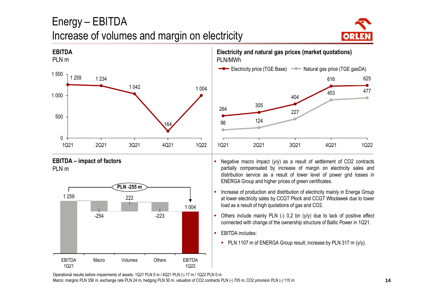## Energy – EBITDAIncrease of volumes and margin on electricity





**EBITDA – impact of factors**  PLN m



**Electricity and natural gas prices (market quotations)** PLN/MWh



- Negative macro impact (y/y) as <sup>a</sup> result of settlement of CO2 contracts partially compensated by increase of margin on electricity sales and distribution service as <sup>a</sup> result of lower level of power grid losses in ENERGA Group and higher prices of green certificates.
- a. Increase of production and distribution of electricity mainly in Energa Group at lower electricity sales by CCGT Płock and CCGT Włocławek due to lowerload as <sup>a</sup> result of high quotations of gas and CO2.
- a. Others include mainly PLN (-) 0,2 bn (y/y) due to lack of positive effect connected with change of the ownership structure of Baltic Power in 1Q21.
- EBITDA includes:
	- PLN <sup>1107</sup> <sup>m</sup> of ENERGA Group result; increase by PLN <sup>317</sup> <sup>m</sup> (y/y).

Operational results before impairments of assets: 1Q21 PLN 0 m / 4Q21 PLN (-) 17 m / 1Q22 PLN 0 mMacro: margins PLN 356 m, exchange rate PLN 24 m, hedging PLN 50 m, valuation of CO2 contracts PLN (-) 705 m, CO2 provision PLN (-) 115 m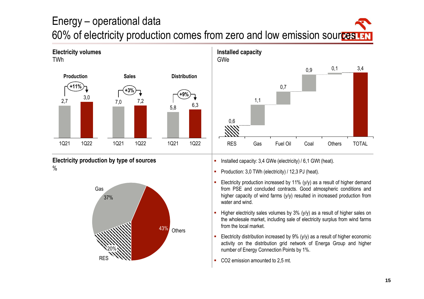## Energy – operational data60% of electricity production comes from zero and low emission sour<mark>ces</mark>



**Electricity production by type of sources**%

**Electricity volumes**





- **I** Installed capacity: 3,4 GWe (electricity) / 6,1 GWt (heat).
- $\mathbf{r}$ Production: 3,0 TWh (electricity) / 12,3 PJ (heat).
- a. Electricity production increased by 11% (y/y) as <sup>a</sup> result of higher demand from PSE and concluded contracts. Good atmospheric conditions and higher capacity of wind farms (y/y) resulted in increased production fromwater and wind.
- ú. Higher electricity sales volumes by 3% (y/y) as <sup>a</sup> result of higher sales on the wholesale market, including sale of electricity surplus from wind farmsfrom the local market.
- ä. Electricity distribution increased by  $9\%$  (y/y) as a result of higher economic activity on the distribution grid network of Energa Group and highernumber of Energy Connection Points by 1%.
- CO2 emission amounted to 2,5 mt.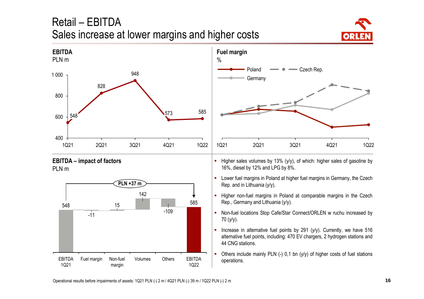## Retail – EBITDASales increase at lower margins and higher costs





**EBITDA – impact of factors**PLN <sup>m</sup>





- **Higher sales volumes by 13% (y/y), of which: higher sales of gasoline by** 16%, diesel by 12% and LPG by 8%.
- Lower fuel margins in Poland at higher fuel margins in Germany, the Czech Rep. and in Lithuania (y/y).
- **Higher non-fuel margins in Poland at comparable margins in the Czech** Rep., Germany and Lithuania (y/y).
- **Non-fuel locations Stop Cafe/Star Connect/ORLEN w ruchu increased by** 70 (y/y).
- a. Increase in alternative fuel points by <sup>291</sup> (y/y). Currently, we have <sup>516</sup> alternative fuel points, including: 470 EV chargers, 2 hydrogen stations and44 CNG stations.
- ı. Others include mainly PLN (-) 0,1 bn (y/y) of higher costs of fuel stations operations.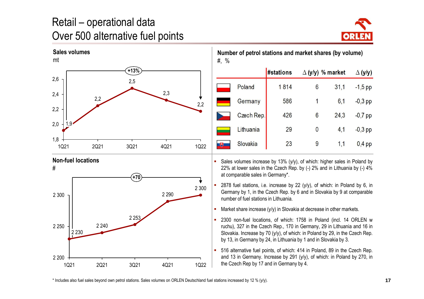## Retail – operational data Over 500 alternative fuel points





**Number of petrol stations and market shares (by volume)** #, %

|   |            | <b>#stations</b> | $\Delta$ (y/y) % market |      | $\Delta$ (y/y) |
|---|------------|------------------|-------------------------|------|----------------|
|   | Poland     | 1814             | 6                       | 31,1 | $-1,5$ pp      |
|   | Germany    | 586              | 1                       | 6,1  | $-0,3$ pp      |
|   | Czech Rep. | 426              | $6\phantom{a}$          | 24,3 | $-0,7$ pp      |
|   | Lithuania  | 29               | 0                       | 4,1  | $-0,3$ pp      |
| 飞 | Slovakia   | 23               | 9                       | 1,1  | $0,4$ pp       |





- Sales volumes increase by 13% (y/y), of which: higher sales in Poland by 22% at lower sales in the Czech Rep. by (-) 2% and in Lithuania by (-) 4%at comparable sales in Germany\*.
- a. <sup>2878</sup> fuel stations, i.e. increase by <sup>22</sup> (y/y), of which: in Poland by 6, in Germany by 1, in the Czech Rep. by 6 and in Slovakia by 9 at comparablenumber of fuel stations in Lithuania.
- П Market share increase (y/y) in Slovakia at decrease in other markets.
- ш <sup>2300</sup> non-fuel locations, of which: <sup>1758</sup> in Poland (incl. <sup>14</sup> ORLEN <sup>w</sup> ruchu), 327 in the Czech Rep., 170 in Germany, 29 in Lithuania and <sup>16</sup> in Slovakia. Increase by 70 (y/y), of which: in Poland by 29, in the Czech Rep. by 13, in Germany by 24, in Lithuania by 1 and in Slovakia by 3.
- a. <sup>516</sup> alternative fuel points, of which: <sup>414</sup> in Poland, <sup>89</sup> in the Czech Rep. and 13 in Germany. Increase by 291 (y/y), of which: in Poland by 270, inthe Czech Rep by 17 and in Germany by 4.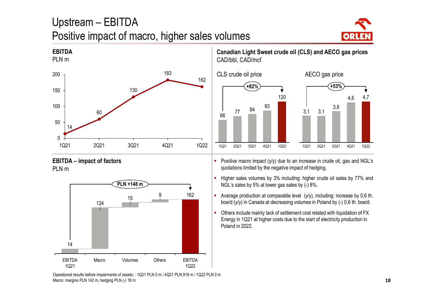## Upstream – EBITDAPositive impact of macro, higher sales volumes





**EBITDA – impact of factors**PLN m



**Canadian Light Sweet crude oil (CLS) and AECO gas prices** CAD/bbl, CAD/mcf



 Positive macro impact (y/y) due to an increase in crude oil, gas and NGL's quotations limited by the negative impact of hedging.

**Higher sales volumes by 3% including: higher crude oil sales by 77% and** NGL's sales by 5% at lower gas sales by (-) 8%.

**Average production at comparable level** (y/y), including: increase by 0,6 th. boe/d (y/y) in Canada at decreasing volumes in Poland by (-) 0,6 th. boe/d.

 $\mathbf{r}$  Others include mainly lack of settlement cost related with liquidation of FX Energy in 1Q21 at higher costs due to the start of electricity production in Poland in 2022.

Operational results before impairments of assets: : 1Q21 PLN 0 m / 4Q21 PLN 918 m / 1Q22 PLN 0 m Macro: margins PLN 142 m, hedging PLN (-) 18 m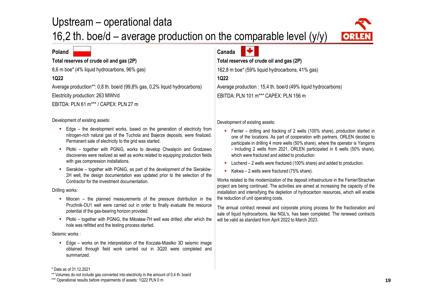## Upstream – operational data

16,2 th. boe/d – average production on the comparable level (y/y)



#### **Poland**

#### **Total reserves of crude oil and gas (2P)**

8,6 m boe\* (4% liquid hydrocarbons, 96% gas)

#### **1Q22**

Average production\*\*: 0,8 th. boe/d (99,8% gas, 0,2% liquid hydrocarbons)Electricity production: 263 MWh/d

EBITDA: PLN 61 m\*\*\* / CAPEX: PLN 27 m

#### Development of existing assets:

- Edge the development works, based on the generation of electricity from nitrogen-rich natural gas of the Tuchola and Bajerze deposits, were finalized. Permanent sale of electricity to the grid was started.
- Płotki together with PGNiG, works to develop Chwalęcin and Grodzewo discoveries were realized as well as works related to equipping production fieldswith gas compression installations.
- Sieraków together with PGNiG, as part of the development of the Sieraków-2H well, the design documentation was updated prior to the selection of theContractor for the investment documentation.

#### Drilling works:

- Miocen the planned measurements of the pressure distribution in the Pruchnik-OU1 well were carried out in order to finally evaluate the resourcepotential of the gas-bearing horizon provided.
- Płotki together with PGNiG, the Miłosław-7H well was drilled, after which the hole was refitted and the testing process started.

#### Seismic works :

**Edge – works on the interpretation of the Koczała-Miastko 3D seismic image** obtained through field work carried out in 3Q20 were completed andsummarized.

#### **Canada**

#### **Total reserves of crude oil and gas (2P)**

162,8 m boe\* (59% liquid hydrocarbons, 41% gas)

#### **1Q22**

Average production : 15,4 th. boe/d (49% liquid hydrocarbons)EBITDA: PLN 101 <sup>m</sup>\*\*\* CAPEX: PLN 156 m

Development of existing assets:

- Ferrier drilling and fracking of <sup>2</sup> wells (100% share), production started in one of the locations. As part of cooperation with partners, ORLEN decided to participate in drilling 4 more wells (50% share), where the operator is Yangarra - including 2 wells from 2021, ORLEN participated in 6 wells (50% share), which were fractured and added to production
- Lochend 2 wells were fractured (100% share) and added to production.
- Kakwa 2 wells were fractured (75% share).

Works related to the modernization of the deposit infrastructure in the Ferrier/Strachan project are being continued. The activities are aimed at increasing the capacity of the installation and intensifying the depletion of hydrocarbon resources, which will enablethe reduction of unit operating costs.

The annual contract renewal and corporate pricing process for the fractionation and sale of liquid hydrocarbons, like NGL's, has been completed. The renewed contractswill be valid as standard from April 2022 to March 2023.

<sup>\*</sup> Data as of 31.12.2021

\*\* Volumes do not include gas converted into electricity in the amount of 0,4 th. boe/d

<sup>\*\*\*</sup> Operational results before impairments of assets: 1Q22 PLN 0 m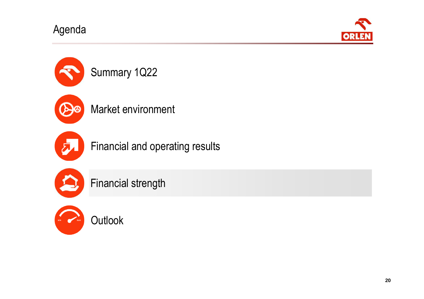Agenda







Financial and operating results



Financial strength



**Outlook**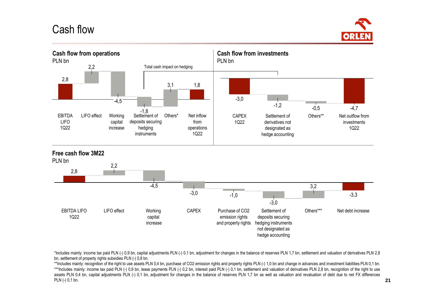### Cash flow





\*Includes mainly: income tax paid PLN (-) 0,9 bn, capital adjustments PLN (-) 0,1 bn, adjustment for changes in the balance of reserves PLN 1,7 bn, settlement and valuation of derivatives PLN 2,8 bn, settlement of property rights subsidies PLN (-) 0,8 bn.

\*\*Includes mainly: recognition of the right to use assets PLN 0,4 bn, purchase of CO2 emission rights and property rights PLN (-) 1,0 bn and change in advances and investment liabilities PLN 0,1 bn. \*\*\*Includes mainly: income tax paid PLN (-) 0,9 bn, lease payments PLN (-) 0,2 bn, interest paid PLN (-) 0,1 bn, settlement and valuation of derivatives PLN 2,8 bn, recognition of the right to use assets PLN 0,4 bn, capital adjustments PLN (-) 0,1 bn, adjustment for changes in the balance of reserves PLN 1,7 bn as well as valuation and revaluation of debt due to net FX differencesPLN (-) 0,1 bn.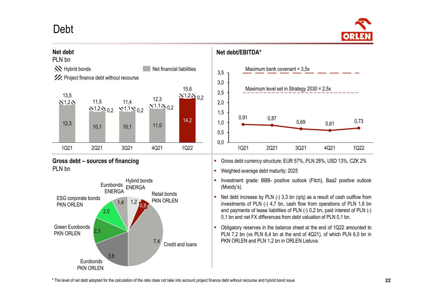### Debt



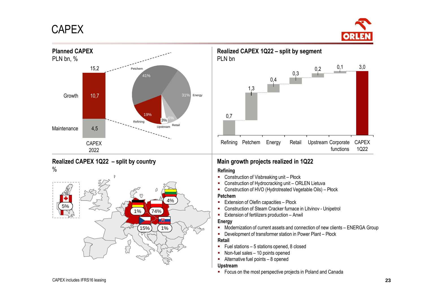### **CAPEX**



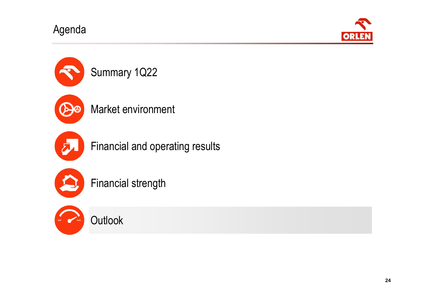Agenda







**Outlook** 

**24**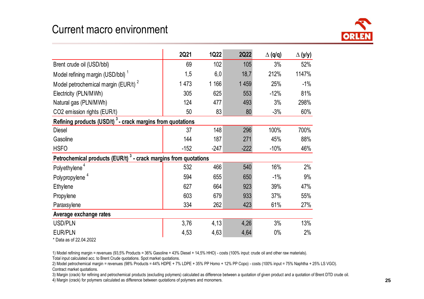### Current macro environment



|                                                                             | 2Q21    | <b>1Q22</b> | <b>2Q22</b> | $\Delta$ (q/q) | $\Delta$ (y/y) |
|-----------------------------------------------------------------------------|---------|-------------|-------------|----------------|----------------|
| Brent crude oil (USD/bbl)                                                   | 69      | 102         | 105         | 3%             | 52%            |
| Model refining margin (USD/bbl) <sup>1</sup>                                | 1,5     | 6,0         | 18,7        | 212%           | 1147%          |
| Model petrochemical margin (EUR/t) <sup>2</sup>                             | 1 4 7 3 | 1 1 6 6     | 1 4 5 9     | 25%            | $-1%$          |
| Electricity (PLN/MWh)                                                       | 305     | 625         | 553         | $-12%$         | 81%            |
| Natural gas (PLN/MWh)                                                       | 124     | 477         | 493         | 3%             | 298%           |
| CO2 emission rights (EUR/t)                                                 | 50      | 83          | 80          | $-3%$          | 60%            |
| Refining products (USD/t) <sup>3</sup> - crack margins from quotations      |         |             |             |                |                |
| <b>Diesel</b>                                                               | 37      | 148         | 296         | 100%           | 700%           |
| Gasoline                                                                    | 144     | 187         | 271         | 45%            | 88%            |
| <b>HSFO</b>                                                                 | $-152$  | $-247$      | $-222$      | $-10%$         | 46%            |
| Petrochemical products (EUR/t) <sup>3</sup> - crack margins from quotations |         |             |             |                |                |
| Polyethylene <sup>4</sup>                                                   | 532     | 466         | 540         | 16%            | 2%             |
| Polypropylene <sup>4</sup>                                                  | 594     | 655         | 650         | $-1\%$         | 9%             |
| Ethylene                                                                    | 627     | 664         | 923         | 39%            | 47%            |
| Propylene                                                                   | 603     | 679         | 933         | 37%            | 55%            |
| Paraxsylene                                                                 | 334     | 262         | 423         | 61%            | 27%            |
| Average exchange rates                                                      |         |             |             |                |                |
| <b>USD/PLN</b>                                                              | 3,76    | 4,13        | 4,26        | 3%             | 13%            |
| <b>EUR/PLN</b>                                                              | 4,53    | 4,63        | 4,64        | $0\%$          | 2%             |

\* Data as of 22.04.2022

1) Model refining margin = revenues (93,5% Products = 36% Gasoline + 43% Diesel + 14,5% HHO) - costs (100% input: crude oil and other raw materials).

Total input calculated acc. to Brent Crude quotations. Spot market quotations.

 2) Model petrochemical margin = revenues (98% Products = 44% HDPE + 7% LDPE + 35% PP Homo + 12% PP Copo) - costs (100% input = 75% Naphtha + 25% LS VGO). Contract market quotations.

3) Margin (crack) for refining and petrochemical products (excluding polymers) calculated as difference between a quotation of given product and a quotation of Brent DTD crude oil.

4) Margin (crack) for polymers calculated as difference between quotations of polymers and monomers.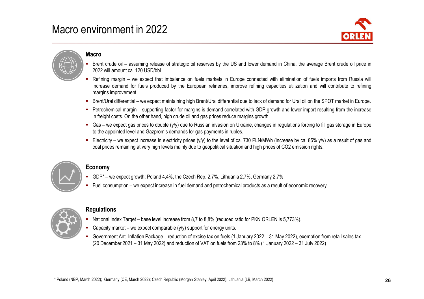### Macro environment in 2022



#### **Macro**

- L. Brent crude oil – assuming release of strategic oil reserves by the US and lower demand in China, the average Brent crude oil price in 2022 will amount ca. 120 USD/bbl.
- Refining margin we expect that imbalance on fuels markets in Europe connected with elimination of fuels imports from Russia will increase demand for fuels produced by the European refineries, improve refining capacities utilization and will contribute to refiningmargins improvement.
- Brent/Ural differential we expect maintaining high Brent/Ural differential due to lack of demand for Ural oil on the SPOT market in Europe.
- Petrochemical margin supporting factor for margins is demand correlated with GDP growth and lower import resulting from the increase in freight costs. On the other hand, high crude oil and gas prices reduce margins growth.
- Gas we expect gas prices to double (y/y) due to Russian invasion on Ukraine, changes in regulations forcing to fill gas storage in Europe to the appointed level and Gazprom's demands for gas payments in rubles.
- Electricity we expect increase in electricity prices (y/y) to the level of ca. 730 PLN/MWh (increase by ca. 85% y/y) as a result of gas and coal prices remaining at very high levels mainly due to geopolitical situation and high prices of CO2 emission rights.



#### **Economy**

- GDP\* we expect growth: Poland 4,4%, the Czech Rep. 2,7%, Lithuania 2,7%, Germany 2,7%.
- L. Fuel consumption – we expect increase in fuel demand and petrochemical products as <sup>a</sup> result of economic recovery.



#### **Regulations**

- National Index Target base level increase from 8,7 to 8,8% (reduced ratio for PKN ORLEN is 5,773%).
- Capacity market we expect comparable  $(y/y)$  support for energy units.
- Government Anti-Inflation Package reduction of excise tax on fuels (1 January 2022 31 May 2022), exemption from retail sales tax (20 December 2021 – 31 May 2022) and reduction of VAT on fuels from 23% to 8% (1 January 2022 – 31 July 2022)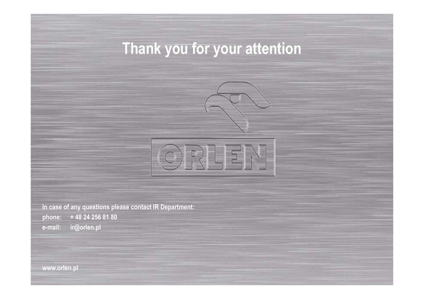# **Thank you for your attention**





**In case of any questions please contact IR Department: phone: + 48 24 256 81 80e-mail: ir@orlen.pl**

**www.orlen.pl**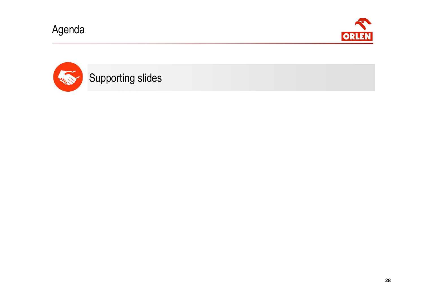Agenda



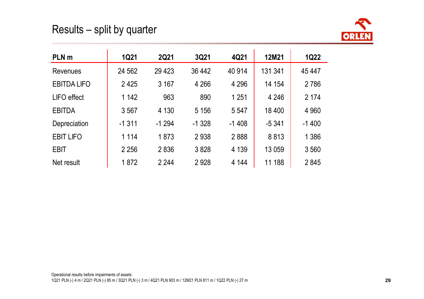### Results – split by quarter



| PLN <sub>m</sub>   | <b>1Q21</b> | <b>2Q21</b> | 3Q21    | 4Q21    | 12M21   | <b>1Q22</b> |
|--------------------|-------------|-------------|---------|---------|---------|-------------|
| Revenues           | 24 5 62     | 29 4 23     | 36 442  | 40 914  | 131 341 | 45 447      |
| <b>EBITDA LIFO</b> | 2425        | 3 167       | 4 2 6 6 | 4 2 9 6 | 14 154  | 2 7 8 6     |
| <b>LIFO</b> effect | 1 142       | 963         | 890     | 1 2 5 1 | 4 2 4 6 | 2 1 7 4     |
| <b>EBITDA</b>      | 3567        | 4 1 3 0     | 5 1 5 6 | 5 5 4 7 | 18 400  | 4 9 6 0     |
| Depreciation       | $-1311$     | $-1294$     | $-1328$ | $-1408$ | $-5341$ | $-1400$     |
| <b>EBIT LIFO</b>   | 1 1 1 4     | 1873        | 2938    | 2888    | 8813    | 1 3 8 6     |
| <b>EBIT</b>        | 2 2 5 6     | 2836        | 3828    | 4 1 3 9 | 13 059  | 3560        |
| Net result         | 1872        | 2 2 4 4     | 2928    | 4 144   | 11 188  | 2845        |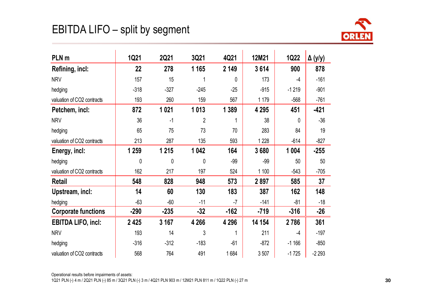## EBITDA LIFO – split by segment



| PLN <sub>m</sub>           | 1Q21    | 2Q21    | 3Q21        | 4Q21    | 12M21   | <b>1Q22</b>  | $\Delta(y/y)$ |
|----------------------------|---------|---------|-------------|---------|---------|--------------|---------------|
| Refining, incl:            | 22      | 278     | 1 1 6 5     | 2 1 4 9 | 3614    | 900          | 878           |
| <b>NRV</b>                 | 157     | 15      |             | 0       | 173     | $-4$         | $-161$        |
| hedging                    | $-318$  | $-327$  | $-245$      | $-25$   | $-915$  | $-1219$      | $-901$        |
| valuation of CO2 contracts | 193     | 260     | 159         | 567     | 1 1 7 9 | $-568$       | $-761$        |
| Petchem, incl:             | 872     | 1 0 2 1 | 1013        | 1 3 8 9 | 4 2 9 5 | 451          | $-421$        |
| <b>NRV</b>                 | 36      | $-1$    | 2           |         | 38      | $\mathbf{0}$ | $-36$         |
| hedging                    | 65      | 75      | 73          | 70      | 283     | 84           | 19            |
| valuation of CO2 contracts | 213     | 287     | 135         | 593     | 1228    | $-614$       | $-827$        |
| Energy, incl:              | 1 2 5 9 | 1 2 1 5 | 1 0 4 2     | 164     | 3680    | 1 0 0 4      | $-255$        |
| hedging                    | 0       | 0       | $\mathbf 0$ | $-99$   | $-99$   | 50           | 50            |
| valuation of CO2 contracts | 162     | 217     | 197         | 524     | 1 100   | $-543$       | $-705$        |
| <b>Retail</b>              | 548     | 828     | 948         | 573     | 2897    | 585          | 37            |
| Upstream, incl:            | 14      | 60      | 130         | 183     | 387     | 162          | 148           |
| hedging                    | $-63$   | $-60$   | $-11$       | $-7$    | $-141$  | $-81$        | $-18$         |
| <b>Corporate functions</b> | $-290$  | $-235$  | $-32$       | $-162$  | $-719$  | $-316$       | $-26$         |
| <b>EBITDA LIFO, incl:</b>  | 2 4 2 5 | 3 167   | 4 2 6 6     | 4 2 9 6 | 14 154  | 2786         | 361           |
| <b>NRV</b>                 | 193     | 14      | 3           |         | 211     | $-4$         | $-197$        |
| hedging                    | $-316$  | $-312$  | $-183$      | $-61$   | $-872$  | $-1166$      | $-850$        |
| valuation of CO2 contracts | 568     | 764     | 491         | 1684    | 3507    | $-1725$      | $-2293$       |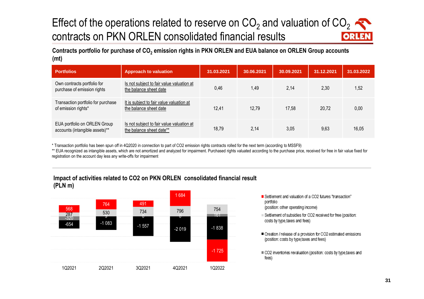#### Effect of the operations related to reserve on CO<sub>2</sub> and valuation of CO<sub>2</sub> contracts on PKN ORLEN consolidated financial results ORLE

**Contracts portfolio for purchase of CO2 emission rights in PKN ORLEN and EUA balance on ORLEN Group accounts (mt)**

| <b>Portfolios</b>                                              | <b>Approach to valuation</b>                                          | 31.03.2021 | 30.06.2021 | 30.09.2021 | 31.12.2021 | 31.03.2022 |
|----------------------------------------------------------------|-----------------------------------------------------------------------|------------|------------|------------|------------|------------|
| Own contracts portfolio for<br>purchase of emission rights     | Is not subject to fair value valuation at<br>the balance sheet date   | 0.46       | 1,49       | 2.14       | 2.30       | 1,52       |
| Transaction portfolio for purchase<br>of emission rights*      | It is subject to fair value valuation at<br>the balance sheet date    | 12.41      | 12,79      | 17,58      | 20,72      | 0,00       |
| EUA portfolio on ORLEN Group<br>accounts (intangible assets)** | Is not subject to fair value valuation at<br>the balance sheet date** | 18,79      | 2,14       | 3,05       | 9.63       | 16,05      |

\* Transaction portfolio has been spun off in 4Q2020 in connection to part of CO2 emission rights contracts rolled for the next term (according to MSSF9)

\*\* EUA recognized as intangible assets, which are not amortized and analyzed for impairment. Purchased rights valuated according to the purchase price, received for free in fair value fixed for registration on the account day less any write-offs for impairment





- Settlement and valuation of a CO2 futures "transaction"<br>portfolio portfolio (position: other operating income)
- Settlement of subsidies for CO2 received for free (position: Collision in a province in the Total for the Total for Co2 estimated to the Co2 estimated in the Co2 estimated (position: costs by type,taxes and fees)
- Creation / release of a provision for CO2 estimated emissions (position: costs by type, taxes and fees)
- $\equiv$  CO2 inventories revaluation (position: costs by type,taxes and fees)  $c_{\rm t}$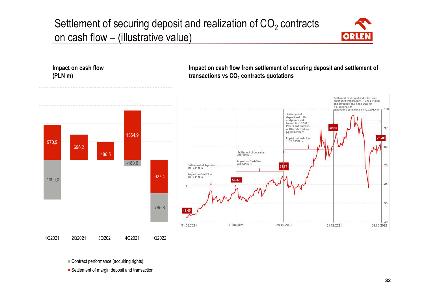## Settlement of securing deposit and realization of  $\mathsf{CO}_2$  contracts on cash flow – (illustrative value)





Contract performance (acquiring rights)

Settlement of margin deposit and transaction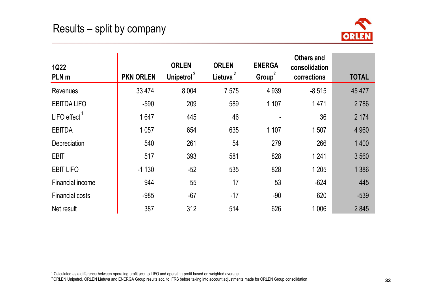$\mathbf{r}$ 



| <b>1Q22</b><br>PLN m    | <b>PKN ORLEN</b> | <b>ORLEN</b><br>Unipetrol <sup>2</sup> | <b>ORLEN</b><br>Lietuva <sup>2</sup> | <b>ENERGA</b><br>Group <sup>2</sup> | <b>Others and</b><br>consolidation<br>corrections | <b>TOTAL</b> |
|-------------------------|------------------|----------------------------------------|--------------------------------------|-------------------------------------|---------------------------------------------------|--------------|
| <b>Revenues</b>         | 33 4 74          | 8 0 0 4                                | 7575                                 | 4 9 3 9                             | $-8515$                                           | 45 477       |
| <b>EBITDA LIFO</b>      | $-590$           | 209                                    | 589                                  | 1 107                               | 1471                                              | 2786         |
| <b>LIFO</b> effect      | 1647             | 445                                    | 46                                   |                                     | 36                                                | 2 1 7 4      |
| <b>EBITDA</b>           | 1 0 5 7          | 654                                    | 635                                  | 1 107                               | 1507                                              | 4 9 6 0      |
| Depreciation            | 540              | 261                                    | 54                                   | 279                                 | 266                                               | 1 4 0 0      |
| <b>EBIT</b>             | 517              | 393                                    | 581                                  | 828                                 | 1 2 4 1                                           | 3 5 6 0      |
| <b>EBIT LIFO</b>        | $-1130$          | $-52$                                  | 535                                  | 828                                 | 1 2 0 5                                           | 1 3 8 6      |
| <b>Financial income</b> | 944              | 55                                     | 17                                   | 53                                  | $-624$                                            | 445          |
| <b>Financial costs</b>  | $-985$           | $-67$                                  | $-17$                                | $-90$                               | 620                                               | $-539$       |
| Net result              | 387              | 312                                    | 514                                  | 626                                 | 1 0 0 6                                           | 2845         |

 $^1$  Calculated as a difference between operating profit acc. to LIFO and operating profit based on weighted average

<sup>2</sup>ORLEN Unipetrol, ORLEN Lietuva and ENERGA Group results acc. to IFRS before taking into account adjustments made for ORLEN Group consolidation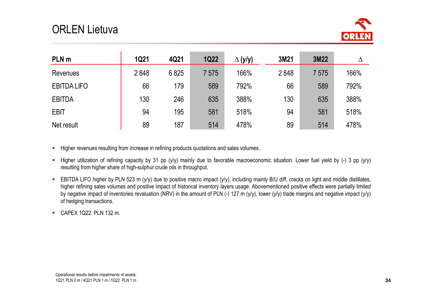## ORLEN Lietuva



| PLN <sub>m</sub>   | <b>1Q21</b> | 4Q21 | <b>1Q22</b> | $\Delta$ (y/y) | 3M21 | 3M22 |      |
|--------------------|-------------|------|-------------|----------------|------|------|------|
| <b>Revenues</b>    | 2848        | 6825 | 7575        | 166%           | 2848 | 7575 | 166% |
| <b>EBITDA LIFO</b> | 66          | 179  | 589         | 792%           | 66   | 589  | 792% |
| <b>EBITDA</b>      | 130         | 246  | 635         | 388%           | 130  | 635  | 388% |
| <b>EBIT</b>        | 94          | 195  | 581         | 518%           | 94   | 581  | 518% |
| Net result         | 89          | 187  | 514         | 478%           | 89   | 514  | 478% |

- **Higher revenues resulting from increase in refining products quotations and sales volumes.**
- Higher utilization of refining capacity by <sup>31</sup> pp (y/y) mainly due to favorable macroeconomic situation. Lower fuel yield by (-) <sup>3</sup> pp (y/y) resulting from higher share of high-sulphur crude oils in throughput.
- EBITDA LIFO higher by PLN <sup>523</sup> <sup>m</sup> (y/y) due to positive macro impact (y/y), including mainly B/U diff, cracks on light and middle distillates, higher refining sales volumes and positive impact of historical inventory layers usage. Abovementioned positive effects were partially limited by negative impact of inventories revaluation (NRV) in the amount of PLN (-) 127 <sup>m</sup> (y/y), lower (y/y) trade margins and negative impact (y/y)of hedging transactions.
- CAPEX 1Q22: PLN <sup>132</sup> m.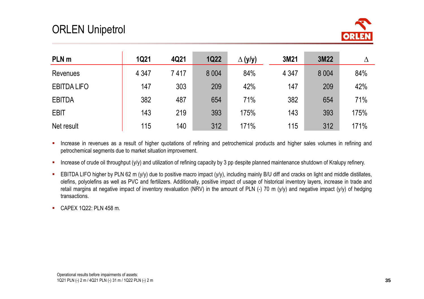

| PLN <sub>m</sub>   | <b>1Q21</b> | 4Q21 | <b>1Q22</b> | $\Delta$ (y/y) | 3M21    | 3M22    |      |
|--------------------|-------------|------|-------------|----------------|---------|---------|------|
| <b>Revenues</b>    | 4 3 4 7     | 7417 | 8 0 0 4     | 84%            | 4 3 4 7 | 8 0 0 4 | 84%  |
| <b>EBITDA LIFO</b> | 147         | 303  | 209         | 42%            | 147     | 209     | 42%  |
| <b>EBITDA</b>      | 382         | 487  | 654         | 71%            | 382     | 654     | 71%  |
| <b>EBIT</b>        | 143         | 219  | 393         | 175%           | 143     | 393     | 175% |
| Net result         | 115         | 140  | 312         | 171%           | 115     | 312     | 171% |

- $\blacksquare$  . Increase in revenues as <sup>a</sup> result of higher quotations of refining and petrochemical products and higher sales volumes in refining and petrochemical segments due to market situation improvement.
- $\mathbf{r}_\mathrm{c}$ Increase of crude oil throughput (y/y) and utilization of refining capacity by <sup>3</sup> pp despite planned maintenance shutdown of Kralupy refinery.
- $\blacksquare$ EBITDA LIFO higher by PLN 62 m (y/y) due to positive macro impact (y/y), including mainly B/U diff and cracks on light and middle distillates, olefins, polyolefins as well as PVC and fertilizers. Additionally, positive impact of usage of historical inventory layers, increase in trade and retail margins at negative impact of inventory revaluation (NRV) in the amount of PLN (-) 70 <sup>m</sup> (y/y) and negative impact (y/y) of hedgingtransactions.
- CAPEX 1Q22: PLN <sup>458</sup> m.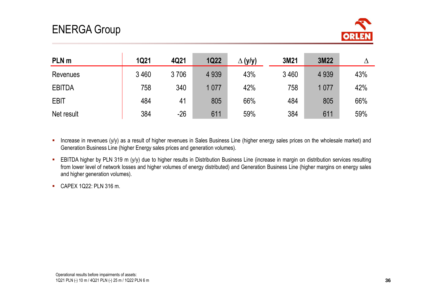

| PLN <sub>m</sub> | <b>1Q21</b> | 4Q21  | <b>1Q22</b> | (y/y)<br>Δ | 3M21 | 3M22    |     |
|------------------|-------------|-------|-------------|------------|------|---------|-----|
| Revenues         | 3 4 6 0     | 3706  | 4 9 3 9     | 43%        | 3460 | 4 9 3 9 | 43% |
| <b>EBITDA</b>    | 758         | 340   | 1 0 7 7     | 42%        | 758  | 1077    | 42% |
| <b>EBIT</b>      | 484         | 41    | 805         | 66%        | 484  | 805     | 66% |
| Net result       | 384         | $-26$ | 611         | 59%        | 384  | 611     | 59% |

- **Increase in revenues (y/y) as a result of higher revenues in Sales Business Line (higher energy sales prices on the wholesale market) and** Generation Business Line (higher Energy sales prices and generation volumes).
- EBITDA higher by PLN <sup>319</sup> <sup>m</sup> (y/y) due to higher results in Distribution Business Line (increase in margin on distribution services resulting from lower level of network losses and higher volumes of energy distributed) and Generation Business Line (higher margins on energy sales and higher generation volumes).
- CAPEX 1Q22: PLN <sup>316</sup> m.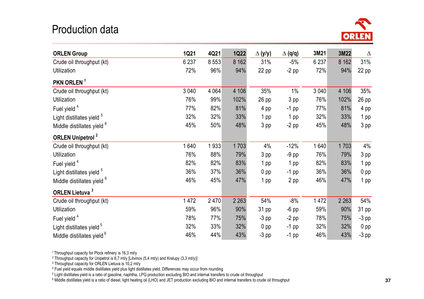### Production data



| <b>ORLEN Group</b>                    | <b>1Q21</b> | 4Q21    | <b>1Q22</b> | $\Delta$ (y/y) | $\Delta$ (q/q) | 3M21    | 3M22    | $\Delta$        |
|---------------------------------------|-------------|---------|-------------|----------------|----------------|---------|---------|-----------------|
| Crude oil throughput (kt)             | 6 2 3 7     | 8 5 5 3 | 8 1 6 2     | 31%            | $-5%$          | 6 2 3 7 | 8 1 6 2 | 31%             |
| Utilization                           | 72%         | 96%     | 94%         | $22$ pp        | $-2$ pp        | 72%     | 94%     | 22 pp           |
| PKN ORLEN <sup>1</sup>                |             |         |             |                |                |         |         |                 |
| Crude oil throughput (kt)             | 3 0 4 0     | 4 0 64  | 4 10 6      | 35%            | $1\%$          | 3 0 4 0 | 4 10 6  | 35%             |
| Utilization                           | 76%         | 99%     | 102%        | 26 pp          | 3 pp           | 76%     | 102%    | $26$ pp         |
| Fuel yield <sup>4</sup>               | 77%         | 82%     | 81%         | 4 pp           | $-1$ pp        | 77%     | 81%     | 4 pp            |
| Light distillates yield <sup>5</sup>  | 32%         | 32%     | 33%         | 1 pp           | 1 pp           | 32%     | 33%     | 1 pp            |
| Middle distillates yield <sup>6</sup> | 45%         | 50%     | 48%         | 3 pp           | $-2$ pp        | 45%     | 48%     | 3 pp            |
| <b>ORLEN Unipetrol<sup>2</sup></b>    |             |         |             |                |                |         |         |                 |
| Crude oil throughput (kt)             | 1640        | 1933    | 1703        | 4%             | $-12%$         | 1640    | 1703    | 4%              |
| <b>Utilization</b>                    | 76%         | 88%     | 79%         | 3 pp           | $-9$ pp        | 76%     | 79%     | 3 pp            |
| Fuel yield <sup>4</sup>               | 82%         | 82%     | 83%         | 1 pp           | 1 pp           | 82%     | 83%     | 1 pp            |
| Light distillates yield <sup>5</sup>  | 36%         | 37%     | 36%         | $0$ pp         | $-1$ pp        | 36%     | 36%     | 0 <sub>pp</sub> |
| Middle distillates yield <sup>6</sup> | 46%         | 45%     | 47%         | 1 pp           | 2 pp           | 46%     | 47%     | 1 pp            |
| <b>ORLEN Lietuva</b> <sup>3</sup>     |             |         |             |                |                |         |         |                 |
| Crude oil throughput (kt)             | 1472        | 2470    | 2 2 6 3     | 54%            | $-8%$          | 1 472   | 2 2 6 3 | 54%             |
| Utilization                           | 59%         | 96%     | 90%         | 31 pp          | $-6$ pp        | 59%     | 90%     | 31 pp           |
| Fuel yield <sup>4</sup>               | 78%         | 77%     | 75%         | $-3$ pp        | $-2$ pp        | 78%     | 75%     | $-3$ pp         |
| Light distillates yield <sup>5</sup>  | 32%         | 33%     | 32%         | $0$ pp         | $-1$ pp        | 32%     | 32%     | 0 <sub>pp</sub> |
| Middle distillates yield <sup>6</sup> | 46%         | 44%     | 43%         | $-3$ pp        | $-1$ pp        | 46%     | 43%     | $-3$ pp         |

<sup>1</sup> Throughput capacity for Plock refinery is 16,3 mt/y

<sup>2</sup> Throughput capacity for Unipetrol is 8,7 mt/y [Litvinov (5,4 mt/y) and Kralupy (3,3 mt/y)]

3 Throughput capacity for ORLEN Lietuva is 10,2 mt/y

4 Fuel yield equals middle distillates yield plus light distillates yield. Differences may occur from rounding

 $^5$  Light distillates yield is a ratio of gasoline, naphtha, LPG production excluding BIO and internal transfers to crude oil throughput

6 Middle distillates yield is a ratio of diesel, light heating oil (LHO) and JET production excluding BIO and internal transfers to crude oil throughput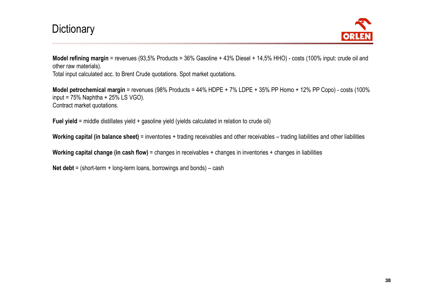### **Dictionary**



**Model refining margin** <sup>=</sup> revenues (93,5% Products <sup>=</sup> 36% Gasoline <sup>+</sup> 43% Diesel <sup>+</sup> 14,5% HHO) - costs (100% input: crude oil and other raw materials).

Total input calculated acc. to Brent Crude quotations. Spot market quotations.

**Model petrochemical margin** <sup>=</sup> revenues (98% Products <sup>=</sup> 44% HDPE <sup>+</sup> 7% LDPE <sup>+</sup> 35% PP Homo <sup>+</sup> 12% PP Copo) - costs (100%input =  $75\%$  Naphtha +  $25\%$  LS VGO). Contract market quotations.

**Fuel yield** <sup>=</sup> middle distillates yield <sup>+</sup> gasoline yield (yields calculated in relation to crude oil)

**Working capital (in balance sheet)** <sup>=</sup> inventories <sup>+</sup> trading receivables and other receivables – trading liabilities and other liabilities

**Working capital change (in cash flow)** <sup>=</sup> changes in receivables <sup>+</sup> changes in inventories <sup>+</sup> changes in liabilities

**Net debt** <sup>=</sup> (short-term <sup>+</sup> long-term loans, borrowings and bonds) – cash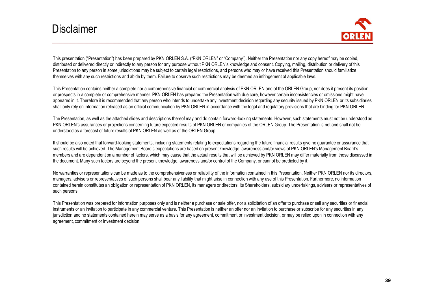### **Disclaimer**



This presentation ("Presentation") has been prepared by PKN ORLEN S.A. ("PKN ORLEN" or "Company"). Neither the Presentation nor any copy hereof may be copied, distributed or delivered directly or indirectly to any person for any purpose without PKN ORLEN's knowledge and consent. Copying, mailing, distribution or delivery of thisPresentation to any person in some jurisdictions may be subject to certain legal restrictions, and persons who may or have received this Presentation should familiarize themselves with any such restrictions and abide by them. Failure to observe such restrictions may be deemed an infringement of applicable laws.

This Presentation contains neither <sup>a</sup> complete nor <sup>a</sup> comprehensive financial or commercial analysis of PKN ORLEN and of the ORLEN Group, nor does it present its positionor prospects in <sup>a</sup> complete or comprehensive manner. PKN ORLEN has prepared the Presentation with due care, however certain inconsistencies or omissions might have appeared in it. Therefore it is recommended that any person who intends to undertake any investment decision regarding any security issued by PKN ORLEN or its subsidiariesshall only rely on information released as an official communication by PKN ORLEN in accordance with the legal and regulatory provisions that are binding for PKN ORLEN.

The Presentation, as well as the attached slides and descriptions thereof may and do contain forward-looking statements. However, such statements must not be understood asPKN ORLEN's assurances or projections concerning future expected results of PKN ORLEN or companies of the ORLEN Group. The Presentation is not and shall not be understood as <sup>a</sup> forecast of future results of PKN ORLEN as well as of the ORLEN Group.

It should be also noted that forward-looking statements, including statements relating to expectations regarding the future financial results give no guarantee or assurance that such results will be achieved. The Management Board's expectations are based on present knowledge, awareness and/or views of PKN ORLEN's Management Board'smembers and are dependent on a number of factors, which may cause that the actual results that will be achieved by PKN ORLEN may differ materially from those discussed in the document. Many such factors are beyond the present knowledge, awareness and/or control of the Company, or cannot be predicted by it.

No warranties or representations can be made as to the comprehensiveness or reliability of the information contained in this Presentation. Neither PKN ORLEN nor its directors, managers, advisers or representatives of such persons shall bear any liability that might arise in connection with any use of this Presentation. Furthermore, no information contained herein constitutes an obligation or representation of PKN ORLEN, its managers or directors, its Shareholders, subsidiary undertakings, advisers or representatives of such persons.

This Presentation was prepared for information purposes only and is neither <sup>a</sup> purchase or sale offer, nor <sup>a</sup> solicitation of an offer to purchase or sell any securities or financial instruments or an invitation to participate in any commercial venture. This Presentation is neither an offer nor an invitation to purchase or subscribe for any securities in any jurisdiction and no statements contained herein may serve as <sup>a</sup> basis for any agreement, commitment or investment decision, or may be relied upon in connection with anyagreement, commitment or investment decision